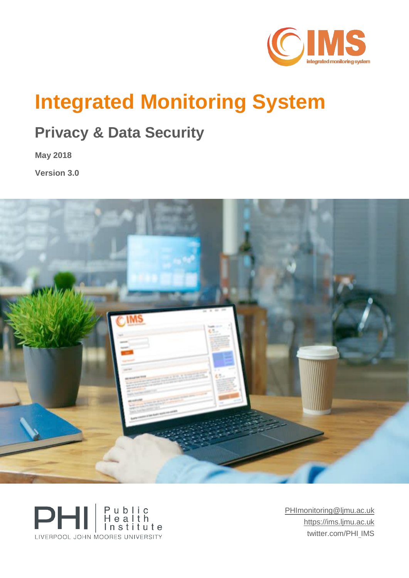

# **Integrated Monitoring System**

## **Privacy & Data Security**

**May 2018** 

**Version 3.0**





[PHImonitoring@ljmu.ac.uk](mailto:PHImonitoring@ljmu.ac.uk) [https://ims.ljmu.ac.uk](https://ims.ljmu.ac.uk/) twitter.com/PHI\_IMS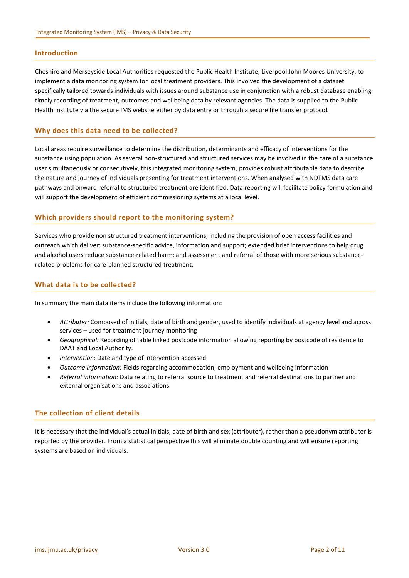#### **Introduction**

Cheshire and Merseyside Local Authorities requested the Public Health Institute, Liverpool John Moores University, to implement a data monitoring system for local treatment providers. This involved the development of a dataset specifically tailored towards individuals with issues around substance use in conjunction with a robust database enabling timely recording of treatment, outcomes and wellbeing data by relevant agencies. The data is supplied to the Public Health Institute via the secure IMS website either by data entry or through a secure file transfer protocol.

#### **Why does this data need to be collected?**

Local areas require surveillance to determine the distribution, determinants and efficacy of interventions for the substance using population. As several non-structured and structured services may be involved in the care of a substance user simultaneously or consecutively, this integrated monitoring system, provides robust attributable data to describe the nature and journey of individuals presenting for treatment interventions. When analysed with NDTMS data care pathways and onward referral to structured treatment are identified. Data reporting will facilitate policy formulation and will support the development of efficient commissioning systems at a local level.

#### **Which providers should report to the monitoring system?**

Services who provide non structured treatment interventions, including the provision of open access facilities and outreach which deliver: substance-specific advice, information and support; extended brief interventions to help drug and alcohol users reduce substance-related harm; and assessment and referral of those with more serious substancerelated problems for care-planned structured treatment.

#### **What data is to be collected?**

In summary the main data items include the following information:

- *Attributer:* Composed of initials, date of birth and gender, used to identify individuals at agency level and across services – used for treatment journey monitoring
- *Geographical:* Recording of table linked postcode information allowing reporting by postcode of residence to DAAT and Local Authority.
- *Intervention:* Date and type of intervention accessed
- *Outcome information:* Fields regarding accommodation, employment and wellbeing information
- *Referral information:* Data relating to referral source to treatment and referral destinations to partner and external organisations and associations

#### **The collection of client details**

It is necessary that the individual's actual initials, date of birth and sex (attributer), rather than a pseudonym attributer is reported by the provider. From a statistical perspective this will eliminate double counting and will ensure reporting systems are based on individuals.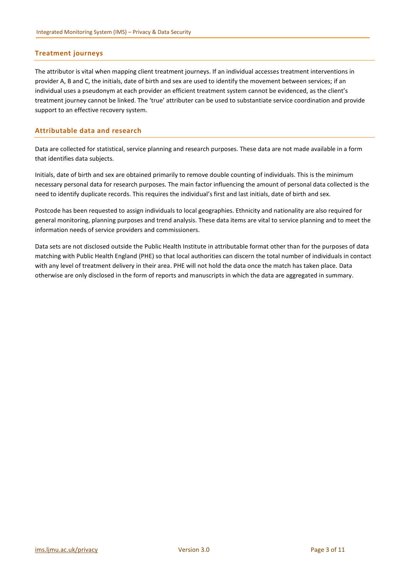#### **Treatment journeys**

The attributor is vital when mapping client treatment journeys. If an individual accesses treatment interventions in provider A, B and C, the initials, date of birth and sex are used to identify the movement between services; if an individual uses a pseudonym at each provider an efficient treatment system cannot be evidenced, as the client's treatment journey cannot be linked. The 'true' attributer can be used to substantiate service coordination and provide support to an effective recovery system.

#### **Attributable data and research**

Data are collected for statistical, service planning and research purposes. These data are not made available in a form that identifies data subjects.

Initials, date of birth and sex are obtained primarily to remove double counting of individuals. This is the minimum necessary personal data for research purposes. The main factor influencing the amount of personal data collected is the need to identify duplicate records. This requires the individual's first and last initials, date of birth and sex.

Postcode has been requested to assign individuals to local geographies. Ethnicity and nationality are also required for general monitoring, planning purposes and trend analysis. These data items are vital to service planning and to meet the information needs of service providers and commissioners.

Data sets are not disclosed outside the Public Health Institute in attributable format other than for the purposes of data matching with Public Health England (PHE) so that local authorities can discern the total number of individuals in contact with any level of treatment delivery in their area. PHE will not hold the data once the match has taken place. Data otherwise are only disclosed in the form of reports and manuscripts in which the data are aggregated in summary.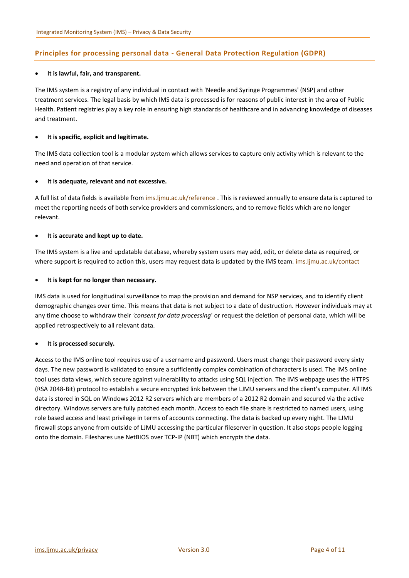#### **Principles for processing personal data - General Data Protection Regulation (GDPR)**

#### **It is lawful, fair, and transparent.**

The IMS system is a registry of any individual in contact with 'Needle and Syringe Programmes' (NSP) and other treatment services. The legal basis by which IMS data is processed is for reasons of public interest in the area of Public Health. Patient registries play a key role in ensuring high standards of healthcare and in advancing knowledge of diseases and treatment.

#### **It is specific, explicit and legitimate.**

The IMS data collection tool is a modular system which allows services to capture only activity which is relevant to the need and operation of that service.

#### **It is adequate, relevant and not excessive.**

A full list of data fields is available from [ims.ljmu.ac.uk/reference](https://ims.ljmu.ac.uk/reference). This is reviewed annually to ensure data is captured to meet the reporting needs of both service providers and commissioners, and to remove fields which are no longer relevant.

#### **It is accurate and kept up to date.**

The IMS system is a live and updatable database, whereby system users may add, edit, or delete data as required, or where support is required to action this, users may request data is updated by the IMS team. [ims.ljmu.ac.uk/contact](https://ims.ljmu.ac.uk/contact)

#### **It is kept for no longer than necessary.**

IMS data is used for longitudinal surveillance to map the provision and demand for NSP services, and to identify client demographic changes over time. This means that data is not subject to a date of destruction. However individuals may at any time choose to withdraw their *'consent for data processing*' or request the deletion of personal data, which will be applied retrospectively to all relevant data.

#### **It is processed securely.**

Access to the IMS online tool requires use of a username and password. Users must change their password every sixty days. The new password is validated to ensure a sufficiently complex combination of characters is used. The IMS online tool uses data views, which secure against vulnerability to attacks using SQL injection. The IMS webpage uses the HTTPS (RSA 2048-Bit) protocol to establish a secure encrypted link between the LJMU servers and the client's computer. All IMS data is stored in SQL on Windows 2012 R2 servers which are members of a 2012 R2 domain and secured via the active directory. Windows servers are fully patched each month. Access to each file share is restricted to named users, using role based access and least privilege in terms of accounts connecting. The data is backed up every night. The LJMU firewall stops anyone from outside of LJMU accessing the particular fileserver in question. It also stops people logging onto the domain. Fileshares use NetBIOS over TCP-IP (NBT) which encrypts the data.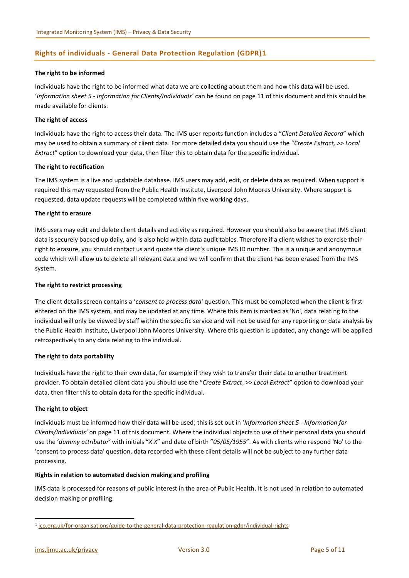#### **Rights of individuals - General Data Protection Regulation (GDPR)1**

#### **The right to be informed**

Individuals have the right to be informed what data we are collecting about them and how this data will be used. '*Information sheet 5 - Information for Clients/Individuals'* can be found on pag[e 11](#page-10-0) of this document and this should be made available for clients.

#### **The right of access**

Individuals have the right to access their data. The IMS user reports function includes a "*Client Detailed Record*" which may be used to obtain a summary of client data. For more detailed data you should use the "*Create Extract, >> Local Extract*" option to download your data, then filter this to obtain data for the specific individual.

#### **The right to rectification**

The IMS system is a live and updatable database. IMS users may add, edit, or delete data as required. When support is required this may requested from the Public Health Institute, Liverpool John Moores University. Where support is requested, data update requests will be completed within five working days.

#### **The right to erasure**

IMS users may edit and delete client details and activity as required. However you should also be aware that IMS client data is securely backed up daily, and is also held within data audit tables. Therefore if a client wishes to exercise their right to erasure, you should contact us and quote the client's unique IMS ID number. This is a unique and anonymous code which will allow us to delete all relevant data and we will confirm that the client has been erased from the IMS system.

#### **The right to restrict processing**

The client details screen contains a '*consent to process data*' question. This must be completed when the client is first entered on the IMS system, and may be updated at any time. Where this item is marked as 'No', data relating to the individual will only be viewed by staff within the specific service and will not be used for any reporting or data analysis by the Public Health Institute, Liverpool John Moores University. Where this question is updated, any change will be applied retrospectively to any data relating to the individual.

#### **The right to data portability**

Individuals have the right to their own data, for example if they wish to transfer their data to another treatment provider. To obtain detailed client data you should use the "*Create Extract*, >> *Local Extract*" option to download your data, then filter this to obtain data for the specific individual.

#### **The right to object**

Individuals must be informed how their data will be used; this is set out in '*Information sheet 5 - Information for Clients/Individuals'* on page [11](#page-10-0) of this document. Where the individual objects to use of their personal data you should use the '*dummy attributor'* with initials "*X X*" and date of birth "*05/05/1955*". As with clients who respond 'No' to the 'consent to process data' question, data recorded with these client details will not be subject to any further data processing.

#### **Rights in relation to automated decision making and profiling**

IMS data is processed for reasons of public interest in the area of Public Health. It is not used in relation to automated decision making or profiling.

**.** 

<sup>1</sup> [ico.org.uk/for-organisations/guide-to-the-general-data-protection-regulation-gdpr/individual-rights](https://ico.org.uk/for-organisations/guide-to-the-general-data-protection-regulation-gdpr/individual-rights)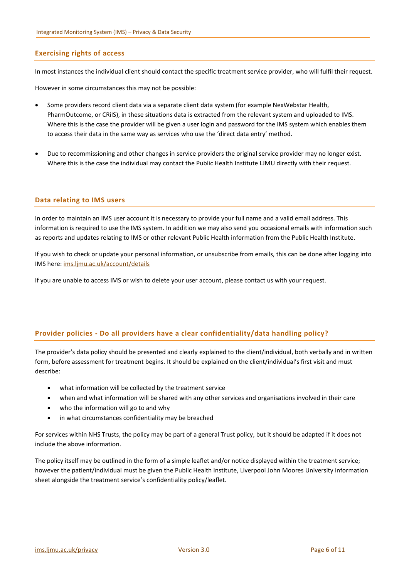#### **Exercising rights of access**

In most instances the individual client should contact the specific treatment service provider, who will fulfil their request.

However in some circumstances this may not be possible:

- Some providers record client data via a separate client data system (for example NexWebstar Health, PharmOutcome, or CRiIS), in these situations data is extracted from the relevant system and uploaded to IMS. Where this is the case the provider will be given a user login and password for the IMS system which enables them to access their data in the same way as services who use the 'direct data entry' method.
- Due to recommissioning and other changes in service providers the original service provider may no longer exist. Where this is the case the individual may contact the Public Health Institute LJMU directly with their request.

#### **Data relating to IMS users**

In order to maintain an IMS user account it is necessary to provide your full name and a valid email address. This information is required to use the IMS system. In addition we may also send you occasional emails with information such as reports and updates relating to IMS or other relevant Public Health information from the Public Health Institute.

If you wish to check or update your personal information, or unsubscribe from emails, this can be done after logging into IMS here: [ims.ljmu.ac.uk/account/details](https://ims.ljmu.ac.uk/account/details)

If you are unable to access IMS or wish to delete your user account, please contact us with your request.

#### **Provider policies - Do all providers have a clear confidentiality/data handling policy?**

The provider's data policy should be presented and clearly explained to the client/individual, both verbally and in written form, before assessment for treatment begins. It should be explained on the client/individual's first visit and must describe:

- what information will be collected by the treatment service
- when and what information will be shared with any other services and organisations involved in their care
- who the information will go to and why
- in what circumstances confidentiality may be breached

For services within NHS Trusts, the policy may be part of a general Trust policy, but it should be adapted if it does not include the above information.

The policy itself may be outlined in the form of a simple leaflet and/or notice displayed within the treatment service; however the patient/individual must be given the Public Health Institute, Liverpool John Moores University information sheet alongside the treatment service's confidentiality policy/leaflet.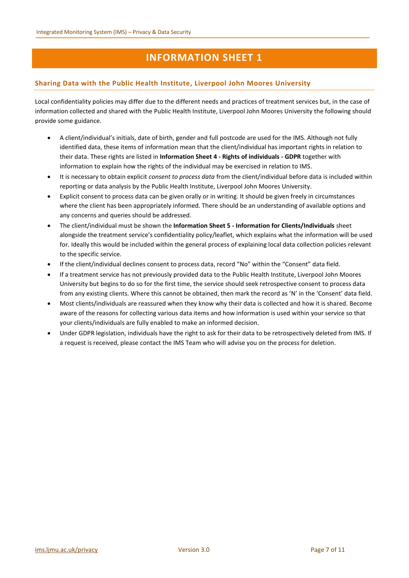#### **Sharing Data with the Public Health Institute, Liverpool John Moores University**

Local confidentiality policies may differ due to the different needs and practices of treatment services but, in the case of information collected and shared with the Public Health Institute, Liverpool John Moores University the following should provide some guidance.

- A client/individual's initials, date of birth, gender and full postcode are used for the IMS. Although not fully identified data, these items of information mean that the client/individual has important rights in relation to their data. These rights are listed in **Information Sheet 4 - Rights of individuals - GDPR** together with information to explain how the rights of the individual may be exercised in relation to IMS.
- It is necessary to obtain explicit *consent to process data* from the client/individual before data is included within reporting or data analysis by the Public Health Institute, Liverpool John Moores University.
- Explicit consent to process data can be given orally or in writing. It should be given freely in circumstances where the client has been appropriately informed. There should be an understanding of available options and any concerns and queries should be addressed.
- The client/individual must be shown the **Information Sheet 5 - Information for Clients/Individuals** sheet alongside the treatment service's confidentiality policy/leaflet, which explains what the information will be used for. Ideally this would be included within the general process of explaining local data collection policies relevant to the specific service.
- If the client/individual declines consent to process data, record "No" within the "Consent" data field.
- If a treatment service has not previously provided data to the Public Health Institute, Liverpool John Moores University but begins to do so for the first time, the service should seek retrospective consent to process data from any existing clients. Where this cannot be obtained, then mark the record as 'N' in the 'Consent' data field.
- Most clients/individuals are reassured when they know why their data is collected and how it is shared. Become aware of the reasons for collecting various data items and how information is used within your service so that your clients/individuals are fully enabled to make an informed decision.
- Under GDPR legislation, individuals have the right to ask for their data to be retrospectively deleted from IMS. If a request is received, please contact the IMS Team who will advise you on the process for deletion.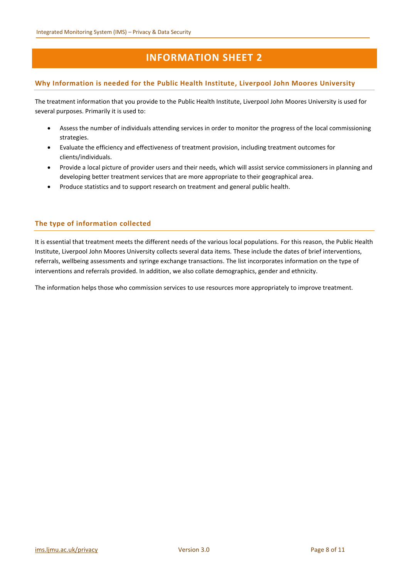#### **Why Information is needed for the Public Health Institute, Liverpool John Moores University**

The treatment information that you provide to the Public Health Institute, Liverpool John Moores University is used for several purposes. Primarily it is used to:

- Assess the number of individuals attending services in order to monitor the progress of the local commissioning strategies.
- Evaluate the efficiency and effectiveness of treatment provision, including treatment outcomes for clients/individuals.
- Provide a local picture of provider users and their needs, which will assist service commissioners in planning and developing better treatment services that are more appropriate to their geographical area.
- Produce statistics and to support research on treatment and general public health.

#### **The type of information collected**

It is essential that treatment meets the different needs of the various local populations. For this reason, the Public Health Institute, Liverpool John Moores University collects several data items. These include the dates of brief interventions, referrals, wellbeing assessments and syringe exchange transactions. The list incorporates information on the type of interventions and referrals provided. In addition, we also collate demographics, gender and ethnicity.

The information helps those who commission services to use resources more appropriately to improve treatment.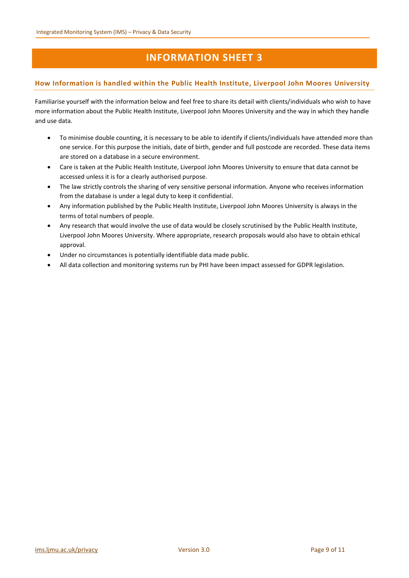#### **How Information is handled within the Public Health Institute, Liverpool John Moores University**

Familiarise yourself with the information below and feel free to share its detail with clients/individuals who wish to have more information about the Public Health Institute, Liverpool John Moores University and the way in which they handle and use data.

- To minimise double counting, it is necessary to be able to identify if clients/individuals have attended more than one service. For this purpose the initials, date of birth, gender and full postcode are recorded. These data items are stored on a database in a secure environment.
- Care is taken at the Public Health Institute, Liverpool John Moores University to ensure that data cannot be accessed unless it is for a clearly authorised purpose.
- The law strictly controls the sharing of very sensitive personal information. Anyone who receives information from the database is under a legal duty to keep it confidential.
- Any information published by the Public Health Institute, Liverpool John Moores University is always in the terms of total numbers of people.
- Any research that would involve the use of data would be closely scrutinised by the Public Health Institute, Liverpool John Moores University. Where appropriate, research proposals would also have to obtain ethical approval.
- Under no circumstances is potentially identifiable data made public.
- All data collection and monitoring systems run by PHI have been impact assessed for GDPR legislation.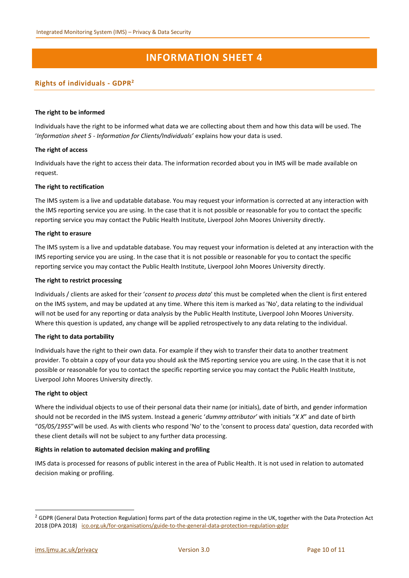#### **Rights of individuals - GDPR<sup>2</sup>**

#### **The right to be informed**

Individuals have the right to be informed what data we are collecting about them and how this data will be used. The '*Information sheet 5 - Information for Clients/Individuals'* explains how your data is used.

#### **The right of access**

Individuals have the right to access their data. The information recorded about you in IMS will be made available on request.

#### **The right to rectification**

The IMS system is a live and updatable database. You may request your information is corrected at any interaction with the IMS reporting service you are using. In the case that it is not possible or reasonable for you to contact the specific reporting service you may contact the Public Health Institute, Liverpool John Moores University directly.

#### **The right to erasure**

The IMS system is a live and updatable database. You may request your information is deleted at any interaction with the IMS reporting service you are using. In the case that it is not possible or reasonable for you to contact the specific reporting service you may contact the Public Health Institute, Liverpool John Moores University directly.

#### **The right to restrict processing**

Individuals / clients are asked for their '*consent to process data*' this must be completed when the client is first entered on the IMS system, and may be updated at any time. Where this item is marked as 'No', data relating to the individual will not be used for any reporting or data analysis by the Public Health Institute, Liverpool John Moores University. Where this question is updated, any change will be applied retrospectively to any data relating to the individual.

#### **The right to data portability**

Individuals have the right to their own data. For example if they wish to transfer their data to another treatment provider. To obtain a copy of your data you should ask the IMS reporting service you are using. In the case that it is not possible or reasonable for you to contact the specific reporting service you may contact the Public Health Institute, Liverpool John Moores University directly.

#### **The right to object**

Where the individual objects to use of their personal data their name (or initials), date of birth, and gender information should not be recorded in the IMS system. Instead a generic '*dummy attributor'* with initials "*X X*" and date of birth "*05/05/1955*"will be used. As with clients who respond 'No' to the 'consent to process data' question, data recorded with these client details will not be subject to any further data processing.

#### **Rights in relation to automated decision making and profiling**

IMS data is processed for reasons of public interest in the area of Public Health. It is not used in relation to automated decision making or profiling.

1

<sup>&</sup>lt;sup>2</sup> GDPR (General Data Protection Regulation) forms part of the data protection regime in the UK, together with the Data Protection Act 2018 (DPA 2018) [ico.org.uk/for-organisations/guide-to-the-general-data-protection-regulation-gdpr](https://ico.org.uk/for-organisations/guide-to-the-general-data-protection-regulation-gdpr)